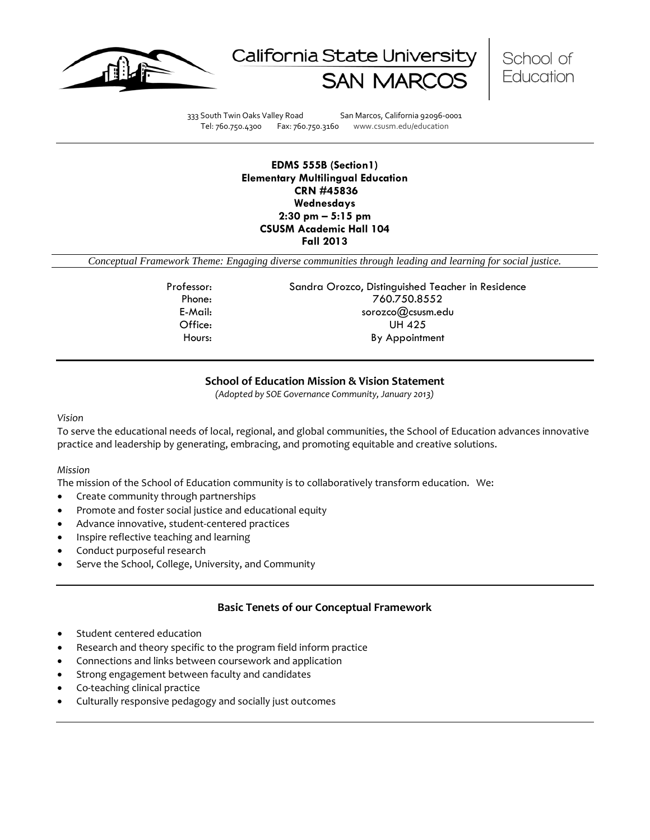





333 South Twin Oaks Valley Road San Marcos, California 92096-0001 Tel: 760.750.4300 Fax: 760.750.3160 www.csusm.edu/education

#### **EDMS 555B (Section1) Elementary Multilingual Education CRN #45836 Wednesdays 2:30 pm – 5:15 pm CSUSM Academic Hall 104 Fall 2013**

*Conceptual Framework Theme: Engaging diverse communities through leading and learning for social justice.*

Professor: Sandra Orozco, Distinguished Teacher in Residence Phone: 760.750.8552 E-Mail: sorozco@csusm.edu Office: UH 425 Hours: By Appointment

## **School of Education Mission & Vision Statement**

*(Adopted by SOE Governance Community, January 2013)*

#### *Vision*

To serve the educational needs of local, regional, and global communities, the School of Education advances innovative practice and leadership by generating, embracing, and promoting equitable and creative solutions.

#### *Mission*

The mission of the School of Education community is to collaboratively transform education. We:

- Create community through partnerships
- Promote and foster social justice and educational equity
- Advance innovative, student-centered practices
- Inspire reflective teaching and learning
- Conduct purposeful research
- Serve the School, College, University, and Community

## **Basic Tenets of our Conceptual Framework**

- Student centered education
- Research and theory specific to the program field inform practice
- Connections and links between coursework and application
- Strong engagement between faculty and candidates
- Co-teaching clinical practice
- Culturally responsive pedagogy and socially just outcomes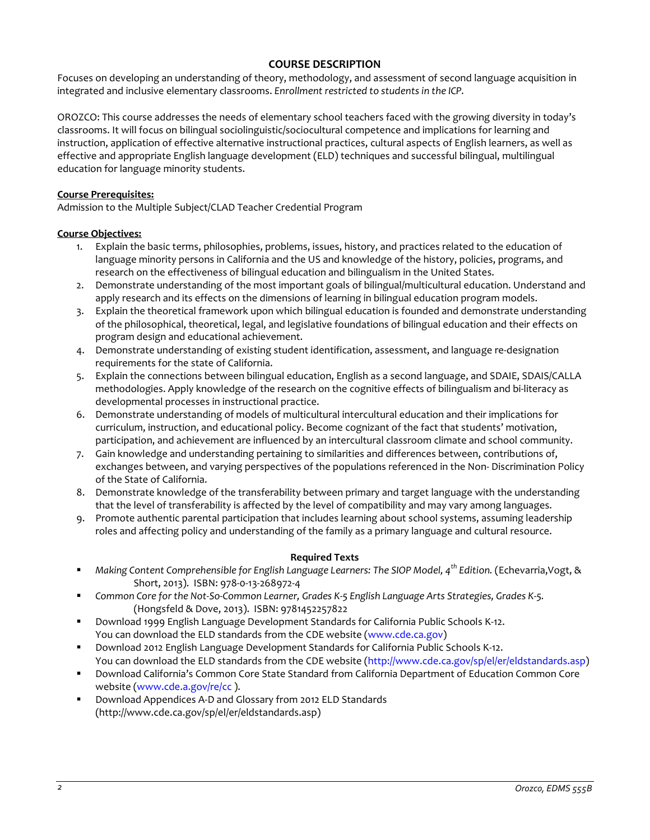## **COURSE DESCRIPTION**

Focuses on developing an understanding of theory, methodology, and assessment of second language acquisition in integrated and inclusive elementary classrooms. *Enrollment restricted to students in the ICP.*

OROZCO: This course addresses the needs of elementary school teachers faced with the growing diversity in today's classrooms. It will focus on bilingual sociolinguistic/sociocultural competence and implications for learning and instruction, application of effective alternative instructional practices, cultural aspects of English learners, as well as effective and appropriate English language development (ELD) techniques and successful bilingual, multilingual education for language minority students.

## **Course Prerequisites:**

Admission to the Multiple Subject/CLAD Teacher Credential Program

## **Course Objectives:**

- 1. Explain the basic terms, philosophies, problems, issues, history, and practices related to the education of language minority persons in California and the US and knowledge of the history, policies, programs, and research on the effectiveness of bilingual education and bilingualism in the United States.
- 2. Demonstrate understanding of the most important goals of bilingual/multicultural education. Understand and apply research and its effects on the dimensions of learning in bilingual education program models.
- 3. Explain the theoretical framework upon which bilingual education is founded and demonstrate understanding of the philosophical, theoretical, legal, and legislative foundations of bilingual education and their effects on program design and educational achievement.
- 4. Demonstrate understanding of existing student identification, assessment, and language re-designation requirements for the state of California.
- 5. Explain the connections between bilingual education, English as a second language, and SDAIE, SDAIS/CALLA methodologies. Apply knowledge of the research on the cognitive effects of bilingualism and bi-literacy as developmental processes in instructional practice.
- 6. Demonstrate understanding of models of multicultural intercultural education and their implications for curriculum, instruction, and educational policy. Become cognizant of the fact that students' motivation, participation, and achievement are influenced by an intercultural classroom climate and school community.
- 7. Gain knowledge and understanding pertaining to similarities and differences between, contributions of, exchanges between, and varying perspectives of the populations referenced in the Non- Discrimination Policy of the State of California.
- 8. Demonstrate knowledge of the transferability between primary and target language with the understanding that the level of transferability is affected by the level of compatibility and may vary among languages.
- 9. Promote authentic parental participation that includes learning about school systems, assuming leadership roles and affecting policy and understanding of the family as a primary language and cultural resource.

#### **Required Texts**

- *Making Content Comprehensible for English Language Learners: The SIOP Model, 4th Edition.* (Echevarria,Vogt, & Short, 2013).ISBN: 978-0-13-268972-4
- *Common Core for the Not-So-Common Learner, Grades K-5 English Language Arts Strategies, Grades K-5.*  (Hongsfeld & Dove, 2013).ISBN: 9781452257822
- Download 1999 English Language Development Standards for California Public Schools K-12. You can download the ELD standards from the CDE website (www.cde.ca.gov)
- Download 2012 English Language Development Standards for California Public Schools K-12. You can download the ELD standards from the CDE website (http://www.cde.ca.gov/sp/el/er/eldstandards.asp)
- Download California's Common Core State Standard from California Department of Education Common Core website (www.cde.a.gov/re/cc ).
- Download Appendices A-D and Glossary from 2012 ELD Standards (http://www.cde.ca.gov/sp/el/er/eldstandards.asp)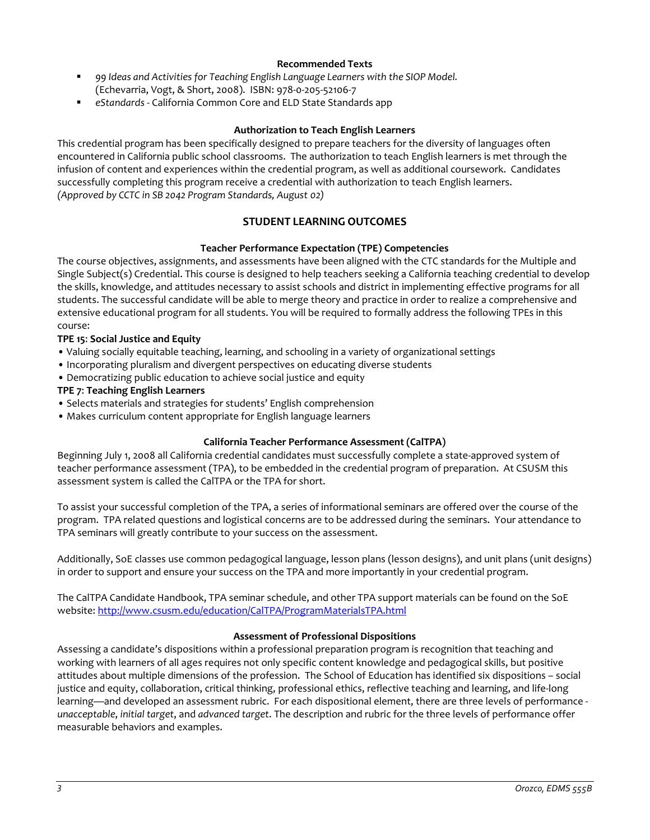## **Recommended Texts**

- *99 Ideas and Activities for Teaching English Language Learners with the SIOP Model.* (Echevarria, Vogt, & Short, 2008). ISBN: 978-0-205-52106-7
- *eStandards*  California Common Core and ELD State Standards app

#### **Authorization to Teach English Learners**

This credential program has been specifically designed to prepare teachers for the diversity of languages often encountered in California public school classrooms. The authorization to teach English learners is met through the infusion of content and experiences within the credential program, as well as additional coursework. Candidates successfully completing this program receive a credential with authorization to teach English learners. *(Approved by CCTC in SB 2042 Program Standards, August 02)*

# **STUDENT LEARNING OUTCOMES**

#### **Teacher Performance Expectation (TPE) Competencies**

The course objectives, assignments, and assessments have been aligned with the CTC standards for the Multiple and Single Subject(s) Credential. This course is designed to help teachers seeking a California teaching credential to develop the skills, knowledge, and attitudes necessary to assist schools and district in implementing effective programs for all students. The successful candidate will be able to merge theory and practice in order to realize a comprehensive and extensive educational program for all students. You will be required to formally address the following TPEs in this course:

## **TPE 15**: **Social Justice and Equity**

- Valuing socially equitable teaching, learning, and schooling in a variety of organizational settings
- Incorporating pluralism and divergent perspectives on educating diverse students
- Democratizing public education to achieve social justice and equity

#### **TPE 7**: **Teaching English Learners**

- Selects materials and strategies for students' English comprehension
- Makes curriculum content appropriate for English language learners

#### **California Teacher Performance Assessment (CalTPA)**

Beginning July 1, 2008 all California credential candidates must successfully complete a state-approved system of teacher performance assessment (TPA), to be embedded in the credential program of preparation. At CSUSM this assessment system is called the CalTPA or the TPA for short.

To assist your successful completion of the TPA, a series of informational seminars are offered over the course of the program. TPA related questions and logistical concerns are to be addressed during the seminars. Your attendance to TPA seminars will greatly contribute to your success on the assessment.

Additionally, SoE classes use common pedagogical language, lesson plans (lesson designs), and unit plans (unit designs) in order to support and ensure your success on the TPA and more importantly in your credential program.

The CalTPA Candidate Handbook, TPA seminar schedule, and other TPA support materials can be found on the SoE website: <http://www.csusm.edu/education/CalTPA/ProgramMaterialsTPA.html>

#### **Assessment of Professional Dispositions**

Assessing a candidate's dispositions within a professional preparation program is recognition that teaching and working with learners of all ages requires not only specific content knowledge and pedagogical skills, but positive attitudes about multiple dimensions of the profession. The School of Education has identified six dispositions – social justice and equity, collaboration, critical thinking, professional ethics, reflective teaching and learning, and life-long learning—and developed an assessment rubric. For each dispositional element, there are three levels of performance *unacceptable*, *initial target*, and *advanced target*. The description and rubric for the three levels of performance offer measurable behaviors and examples.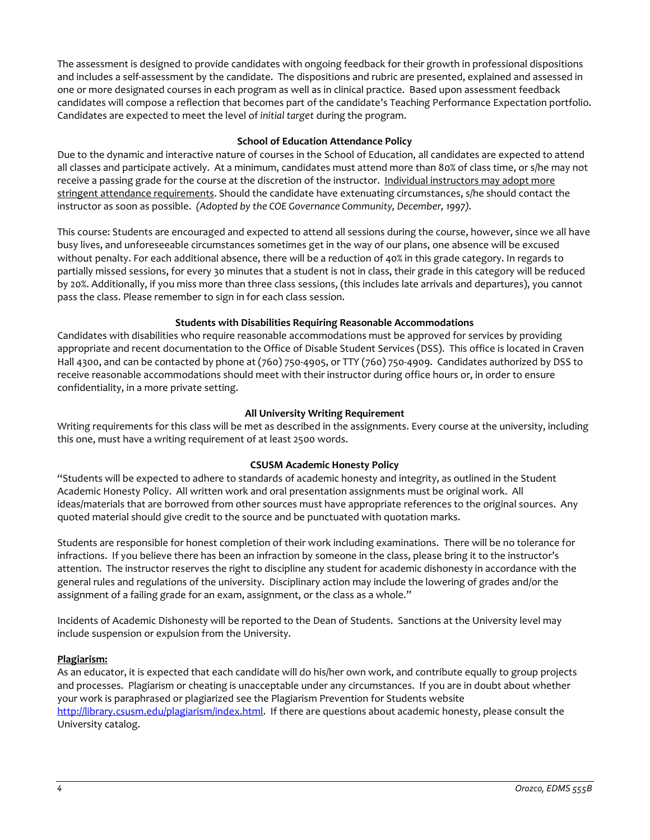The assessment is designed to provide candidates with ongoing feedback for their growth in professional dispositions and includes a self-assessment by the candidate. The dispositions and rubric are presented, explained and assessed in one or more designated courses in each program as well as in clinical practice. Based upon assessment feedback candidates will compose a reflection that becomes part of the candidate's Teaching Performance Expectation portfolio. Candidates are expected to meet the level of *initial target* during the program.

#### **School of Education Attendance Policy**

Due to the dynamic and interactive nature of courses in the School of Education, all candidates are expected to attend all classes and participate actively. At a minimum, candidates must attend more than 80% of class time, or s/he may not receive a passing grade for the course at the discretion of the instructor. Individual instructors may adopt more stringent attendance requirements. Should the candidate have extenuating circumstances, s/he should contact the instructor as soon as possible. *(Adopted by the COE Governance Community, December, 1997).*

This course: Students are encouraged and expected to attend all sessions during the course, however, since we all have busy lives, and unforeseeable circumstances sometimes get in the way of our plans, one absence will be excused without penalty. For each additional absence, there will be a reduction of 40% in this grade category. In regards to partially missed sessions, for every 30 minutes that a student is not in class, their grade in this category will be reduced by 20%. Additionally, if you miss more than three class sessions, (this includes late arrivals and departures), you cannot pass the class. Please remember to sign in for each class session.

## **Students with Disabilities Requiring Reasonable Accommodations**

Candidates with disabilities who require reasonable accommodations must be approved for services by providing appropriate and recent documentation to the Office of Disable Student Services (DSS). This office is located in Craven Hall 4300, and can be contacted by phone at (760) 750-4905, or TTY (760) 750-4909. Candidates authorized by DSS to receive reasonable accommodations should meet with their instructor during office hours or, in order to ensure confidentiality, in a more private setting.

## **All University Writing Requirement**

Writing requirements for this class will be met as described in the assignments. Every course at the university, including this one, must have a writing requirement of at least 2500 words.

## **CSUSM Academic Honesty Policy**

"Students will be expected to adhere to standards of academic honesty and integrity, as outlined in the Student Academic Honesty Policy. All written work and oral presentation assignments must be original work. All ideas/materials that are borrowed from other sources must have appropriate references to the original sources. Any quoted material should give credit to the source and be punctuated with quotation marks.

Students are responsible for honest completion of their work including examinations. There will be no tolerance for infractions. If you believe there has been an infraction by someone in the class, please bring it to the instructor's attention. The instructor reserves the right to discipline any student for academic dishonesty in accordance with the general rules and regulations of the university. Disciplinary action may include the lowering of grades and/or the assignment of a failing grade for an exam, assignment, or the class as a whole."

Incidents of Academic Dishonesty will be reported to the Dean of Students. Sanctions at the University level may include suspension or expulsion from the University.

## **Plagiarism:**

As an educator, it is expected that each candidate will do his/her own work, and contribute equally to group projects and processes. Plagiarism or cheating is unacceptable under any circumstances. If you are in doubt about whether your work is paraphrased or plagiarized see the Plagiarism Prevention for Students website [http://library.csusm.edu/plagiarism/index.html.](http://library.csusm.edu/plagiarism/index.html) If there are questions about academic honesty, please consult the University catalog.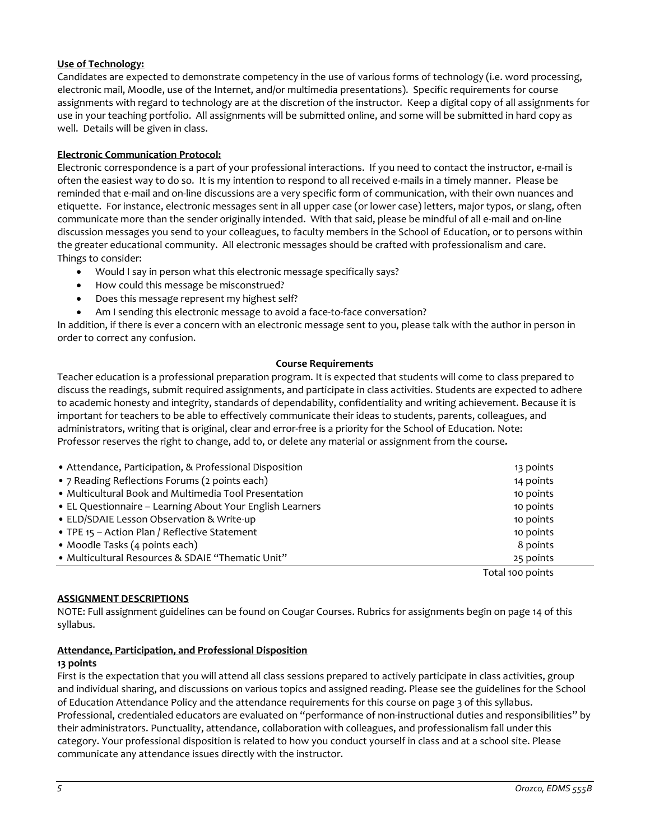## **Use of Technology:**

Candidates are expected to demonstrate competency in the use of various forms of technology (i.e. word processing, electronic mail, Moodle, use of the Internet, and/or multimedia presentations). Specific requirements for course assignments with regard to technology are at the discretion of the instructor. Keep a digital copy of all assignments for use in your teaching portfolio. All assignments will be submitted online, and some will be submitted in hard copy as well. Details will be given in class.

## **Electronic Communication Protocol:**

Electronic correspondence is a part of your professional interactions. If you need to contact the instructor, e-mail is often the easiest way to do so. It is my intention to respond to all received e-mails in a timely manner. Please be reminded that e-mail and on-line discussions are a very specific form of communication, with their own nuances and etiquette. For instance, electronic messages sent in all upper case (or lower case) letters, major typos, or slang, often communicate more than the sender originally intended. With that said, please be mindful of all e-mail and on-line discussion messages you send to your colleagues, to faculty members in the School of Education, or to persons within the greater educational community. All electronic messages should be crafted with professionalism and care. Things to consider:

- Would I say in person what this electronic message specifically says?
- How could this message be misconstrued?
- Does this message represent my highest self?
- Am I sending this electronic message to avoid a face-to-face conversation?

In addition, if there is ever a concern with an electronic message sent to you, please talk with the author in person in order to correct any confusion.

#### **Course Requirements**

Teacher education is a professional preparation program. It is expected that students will come to class prepared to discuss the readings, submit required assignments, and participate in class activities. Students are expected to adhere to academic honesty and integrity, standards of dependability, confidentiality and writing achievement. Because it is important for teachers to be able to effectively communicate their ideas to students, parents, colleagues, and administrators, writing that is original, clear and error-free is a priority for the School of Education. Note: Professor reserves the right to change, add to, or delete any material or assignment from the course*.*

| • Attendance, Participation, & Professional Disposition   | 13 points        |
|-----------------------------------------------------------|------------------|
| • 7 Reading Reflections Forums (2 points each)            | 14 points        |
| • Multicultural Book and Multimedia Tool Presentation     | 10 points        |
| • EL Questionnaire - Learning About Your English Learners | 10 points        |
| • ELD/SDAIE Lesson Observation & Write-up                 | 10 points        |
| • TPE 15 - Action Plan / Reflective Statement             | 10 points        |
| • Moodle Tasks (4 points each)                            | 8 points         |
| • Multicultural Resources & SDAIE "Thematic Unit"         | 25 points        |
|                                                           | Total 100 points |

#### **ASSIGNMENT DESCRIPTIONS**

NOTE: Full assignment guidelines can be found on Cougar Courses. Rubrics for assignments begin on page 14 of this syllabus.

#### **Attendance, Participation, and Professional Disposition**

#### **13 points**

First is the expectation that you will attend all class sessions prepared to actively participate in class activities, group and individual sharing, and discussions on various topics and assigned reading**.** Please see the guidelines for the School of Education Attendance Policy and the attendance requirements for this course on page 3 of this syllabus. Professional, credentialed educators are evaluated on "performance of non-instructional duties and responsibilities" by their administrators. Punctuality, attendance, collaboration with colleagues, and professionalism fall under this category. Your professional disposition is related to how you conduct yourself in class and at a school site. Please communicate any attendance issues directly with the instructor.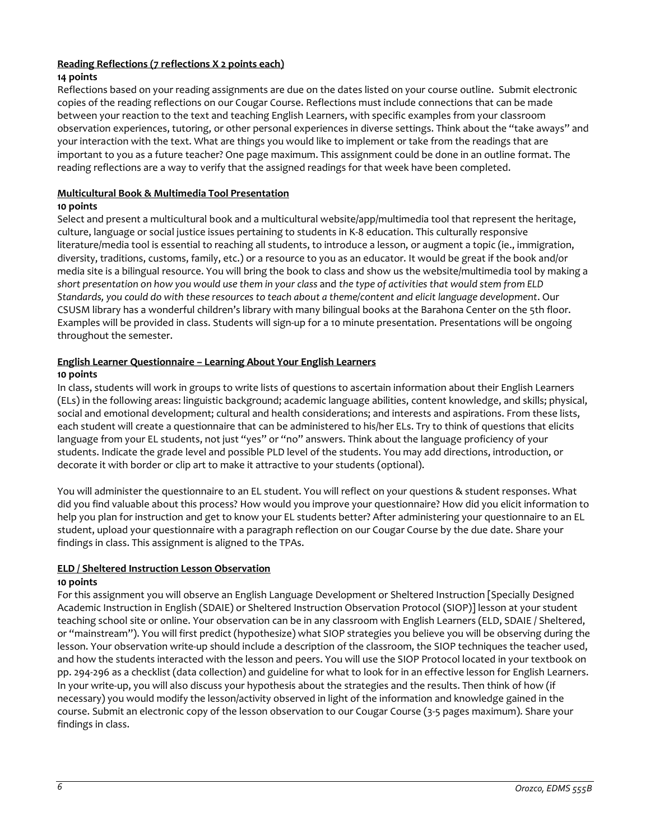# **Reading Reflections (7 reflections X 2 points each)**

## **14 points**

Reflections based on your reading assignments are due on the dates listed on your course outline. Submit electronic copies of the reading reflections on our Cougar Course. Reflections must include connections that can be made between your reaction to the text and teaching English Learners, with specific examples from your classroom observation experiences, tutoring, or other personal experiences in diverse settings. Think about the "take aways" and your interaction with the text. What are things you would like to implement or take from the readings that are important to you as a future teacher? One page maximum. This assignment could be done in an outline format. The reading reflections are a way to verify that the assigned readings for that week have been completed.

## **Multicultural Book & Multimedia Tool Presentation**

## **10 points**

Select and present a multicultural book and a multicultural website/app/multimedia tool that represent the heritage, culture, language or social justice issues pertaining to students in K-8 education. This culturally responsive literature/media tool is essential to reaching all students, to introduce a lesson, or augment a topic (ie., immigration, diversity, traditions, customs, family, etc.) or a resource to you as an educator. It would be great if the book and/or media site is a bilingual resource. You will bring the book to class and show us the website/multimedia tool by making a *short presentation on how you would use them in your class* and *the type of activities that would stem from ELD Standards, you could do with these resources to teach about a theme/content and elicit language development*. Our CSUSM library has a wonderful children's library with many bilingual books at the Barahona Center on the 5th floor. Examples will be provided in class. Students will sign-up for a 10 minute presentation. Presentations will be ongoing throughout the semester.

# **English Learner Questionnaire – Learning About Your English Learners**

## **10 points**

In class, students will work in groups to write lists of questions to ascertain information about their English Learners (ELs) in the following areas: linguistic background; academic language abilities, content knowledge, and skills; physical, social and emotional development; cultural and health considerations; and interests and aspirations. From these lists, each student will create a questionnaire that can be administered to his/her ELs. Try to think of questions that elicits language from your EL students, not just "yes" or "no" answers. Think about the language proficiency of your students. Indicate the grade level and possible PLD level of the students. You may add directions, introduction, or decorate it with border or clip art to make it attractive to your students (optional).

You will administer the questionnaire to an EL student. You will reflect on your questions & student responses. What did you find valuable about this process? How would you improve your questionnaire? How did you elicit information to help you plan for instruction and get to know your EL students better? After administering your questionnaire to an EL student, upload your questionnaire with a paragraph reflection on our Cougar Course by the due date. Share your findings in class. This assignment is aligned to the TPAs.

## **ELD / Sheltered Instruction Lesson Observation**

#### **10 points**

For this assignment you will observe an English Language Development or Sheltered Instruction [Specially Designed Academic Instruction in English (SDAIE) or Sheltered Instruction Observation Protocol (SIOP)] lesson at your student teaching school site or online. Your observation can be in any classroom with English Learners (ELD, SDAIE / Sheltered, or "mainstream"). You will first predict (hypothesize) what SIOP strategies you believe you will be observing during the lesson. Your observation write-up should include a description of the classroom, the SIOP techniques the teacher used, and how the students interacted with the lesson and peers. You will use the SIOP Protocol located in your textbook on pp. 294-296 as a checklist (data collection) and guideline for what to look for in an effective lesson for English Learners. In your write-up, you will also discuss your hypothesis about the strategies and the results. Then think of how (if necessary) you would modify the lesson/activity observed in light of the information and knowledge gained in the course. Submit an electronic copy of the lesson observation to our Cougar Course (3-5 pages maximum). Share your findings in class.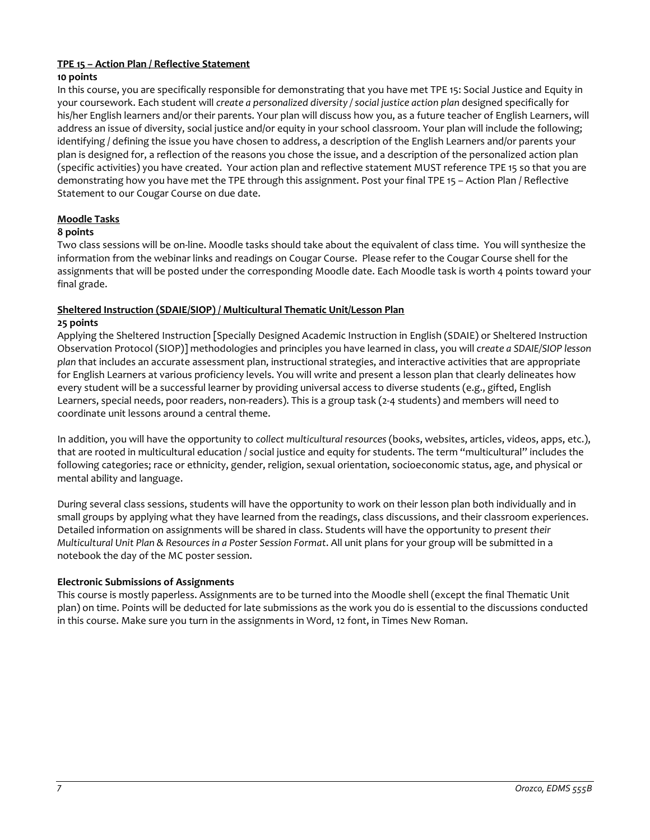# **TPE 15 – Action Plan / Reflective Statement**

## **10 points**

In this course, you are specifically responsible for demonstrating that you have met TPE 15: Social Justice and Equity in your coursework. Each student will *create a personalized diversity / social justice action plan* designed specifically for his/her English learners and/or their parents. Your plan will discuss how you, as a future teacher of English Learners, will address an issue of diversity, social justice and/or equity in your school classroom. Your plan will include the following; identifying / defining the issue you have chosen to address, a description of the English Learners and/or parents your plan is designed for, a reflection of the reasons you chose the issue, and a description of the personalized action plan (specific activities) you have created. Your action plan and reflective statement MUST reference TPE 15 so that you are demonstrating how you have met the TPE through this assignment. Post your final TPE 15 – Action Plan / Reflective Statement to our Cougar Course on due date.

# **Moodle Tasks**

## **8 points**

Two class sessions will be on-line. Moodle tasks should take about the equivalent of class time. You will synthesize the information from the webinar links and readings on Cougar Course. Please refer to the Cougar Course shell for the assignments that will be posted under the corresponding Moodle date. Each Moodle task is worth 4 points toward your final grade.

# **Sheltered Instruction (SDAIE/SIOP) / Multicultural Thematic Unit/Lesson Plan**

## **25 points**

Applying the Sheltered Instruction [Specially Designed Academic Instruction in English (SDAIE) or Sheltered Instruction Observation Protocol (SIOP)] methodologies and principles you have learned in class, you will *create a SDAIE/SIOP lesson plan* that includes an accurate assessment plan, instructional strategies, and interactive activities that are appropriate for English Learners at various proficiency levels. You will write and present a lesson plan that clearly delineates how every student will be a successful learner by providing universal access to diverse students (e.g., gifted, English Learners, special needs, poor readers, non-readers). This is a group task (2-4 students) and members will need to coordinate unit lessons around a central theme.

In addition, you will have the opportunity to *collect multicultural resources* (books, websites, articles, videos, apps, etc.), that are rooted in multicultural education / social justice and equity for students. The term "multicultural" includes the following categories; race or ethnicity, gender, religion, sexual orientation, socioeconomic status, age, and physical or mental ability and language.

During several class sessions, students will have the opportunity to work on their lesson plan both individually and in small groups by applying what they have learned from the readings, class discussions, and their classroom experiences. Detailed information on assignments will be shared in class. Students will have the opportunity to *present their Multicultural Unit Plan & Resources in a Poster Session Format*. All unit plans for your group will be submitted in a notebook the day of the MC poster session.

## **Electronic Submissions of Assignments**

This course is mostly paperless. Assignments are to be turned into the Moodle shell (except the final Thematic Unit plan) on time. Points will be deducted for late submissions as the work you do is essential to the discussions conducted in this course. Make sure you turn in the assignments in Word, 12 font, in Times New Roman.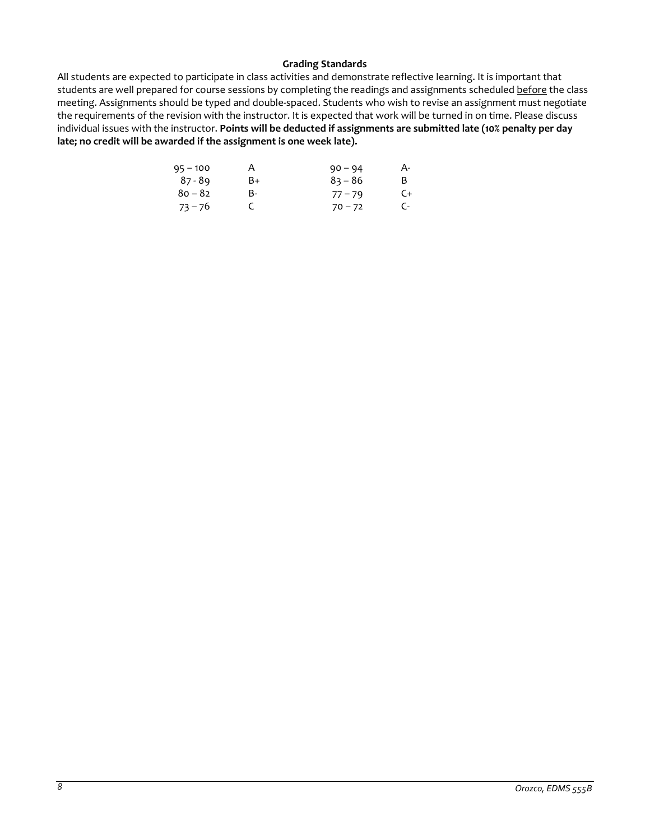## **Grading Standards**

All students are expected to participate in class activities and demonstrate reflective learning. It is important that students are well prepared for course sessions by completing the readings and assignments scheduled before the class meeting. Assignments should be typed and double-spaced. Students who wish to revise an assignment must negotiate the requirements of the revision with the instructor. It is expected that work will be turned in on time. Please discuss individual issues with the instructor. **Points will be deducted if assignments are submitted late (10% penalty per day late; no credit will be awarded if the assignment is one week late).**

| $95 - 100$ | Α  | $90 - 94$ | А- |
|------------|----|-----------|----|
| 87 - 89    | B+ | $83 - 86$ | B. |
| $80 - 82$  | B- | $77 - 79$ | C+ |
| $73 - 76$  | C  | $70 - 72$ | C- |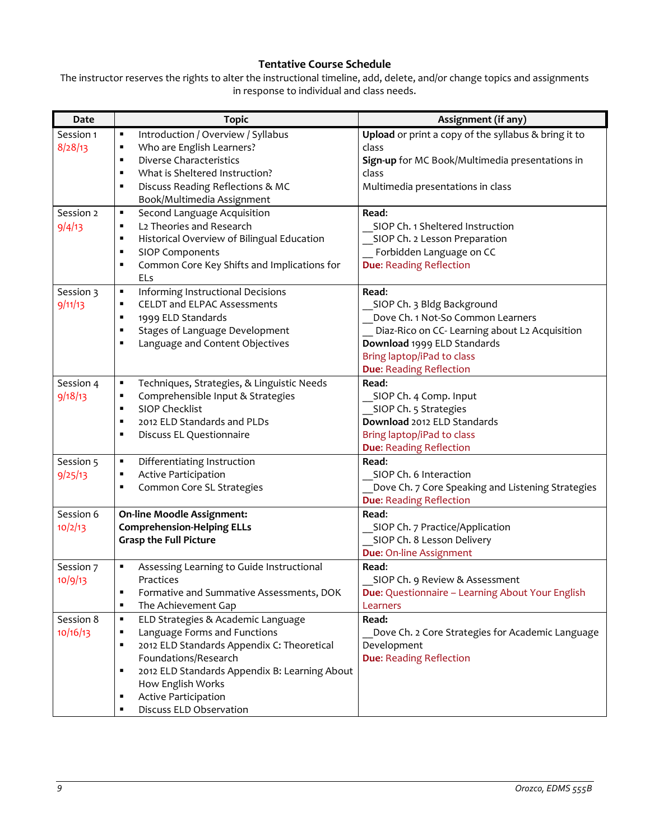# **Tentative Course Schedule**

The instructor reserves the rights to alter the instructional timeline, add, delete, and/or change topics and assignments in response to individual and class needs.

| Date      | <b>Topic</b>                                                  | Assignment (if any)                                     |
|-----------|---------------------------------------------------------------|---------------------------------------------------------|
| Session 1 | Introduction / Overview / Syllabus<br>٠                       | Upload or print a copy of the syllabus & bring it to    |
| 8/28/13   | Who are English Learners?<br>$\blacksquare$                   | class                                                   |
|           | Diverse Characteristics<br>$\blacksquare$                     | Sign-up for MC Book/Multimedia presentations in         |
|           | What is Sheltered Instruction?<br>$\blacksquare$              | class                                                   |
|           | Discuss Reading Reflections & MC<br>$\blacksquare$            | Multimedia presentations in class                       |
|           | Book/Multimedia Assignment                                    |                                                         |
| Session 2 | Second Language Acquisition<br>٠                              | Read:                                                   |
| 9/4/13    | L2 Theories and Research<br>٠                                 | SIOP Ch. 1 Sheltered Instruction                        |
|           | Historical Overview of Bilingual Education<br>٠               | SIOP Ch. 2 Lesson Preparation                           |
|           | <b>SIOP Components</b><br>п                                   | Forbidden Language on CC                                |
|           | Common Core Key Shifts and Implications for<br>$\blacksquare$ | <b>Due: Reading Reflection</b>                          |
|           | ELs                                                           |                                                         |
| Session 3 | Informing Instructional Decisions<br>٠                        | Read:                                                   |
| 9/11/13   | <b>CELDT and ELPAC Assessments</b><br>٠                       | SIOP Ch. 3 Bldg Background                              |
|           | 1999 ELD Standards<br>$\blacksquare$                          | Dove Ch. 1 Not-So Common Learners                       |
|           | Stages of Language Development<br>$\blacksquare$              | Diaz-Rico on CC- Learning about L2 Acquisition          |
|           | Language and Content Objectives<br>$\blacksquare$             | Download 1999 ELD Standards                             |
|           |                                                               | Bring laptop/iPad to class                              |
|           |                                                               | <b>Due: Reading Reflection</b>                          |
| Session 4 | Techniques, Strategies, & Linguistic Needs<br>٠               | Read:                                                   |
| 9/18/13   | Comprehensible Input & Strategies<br>٠                        | SIOP Ch. 4 Comp. Input                                  |
|           | <b>SIOP Checklist</b><br>$\blacksquare$                       | SIOP Ch. 5 Strategies                                   |
|           | 2012 ELD Standards and PLDs<br>٠                              | Download 2012 ELD Standards                             |
|           | Discuss EL Questionnaire<br>٠                                 | Bring laptop/iPad to class                              |
|           |                                                               | <b>Due: Reading Reflection</b>                          |
| Session 5 | Differentiating Instruction<br>٠                              | Read:                                                   |
| 9/25/13   | Active Participation<br>п                                     | SIOP Ch. 6 Interaction                                  |
|           | Common Core SL Strategies                                     | Dove Ch. 7 Core Speaking and Listening Strategies       |
|           |                                                               | <b>Due: Reading Reflection</b>                          |
| Session 6 | On-line Moodle Assignment:                                    | Read:                                                   |
| 10/2/13   | <b>Comprehension-Helping ELLs</b>                             | SIOP Ch. 7 Practice/Application                         |
|           | <b>Grasp the Full Picture</b>                                 | SIOP Ch. 8 Lesson Delivery                              |
|           |                                                               | Due: On-line Assignment                                 |
| Session 7 | Assessing Learning to Guide Instructional<br>٠                | Read:                                                   |
| 10/9/13   | Practices                                                     | SIOP Ch. 9 Review & Assessment                          |
|           | Formative and Summative Assessments, DOK<br>٠                 | <b>Due:</b> Questionnaire - Learning About Your English |
|           | The Achievement Gap<br>$\blacksquare$                         | Learners                                                |
| Session 8 | ELD Strategies & Academic Language<br>٠                       | Read:                                                   |
| 10/16/13  | Language Forms and Functions<br>٠                             | Dove Ch. 2 Core Strategies for Academic Language        |
|           | 2012 ELD Standards Appendix C: Theoretical<br>٠               | Development                                             |
|           | Foundations/Research                                          | <b>Due: Reading Reflection</b>                          |
|           | 2012 ELD Standards Appendix B: Learning About<br>п            |                                                         |
|           | How English Works                                             |                                                         |
|           | Active Participation<br>п                                     |                                                         |
|           | Discuss ELD Observation<br>п                                  |                                                         |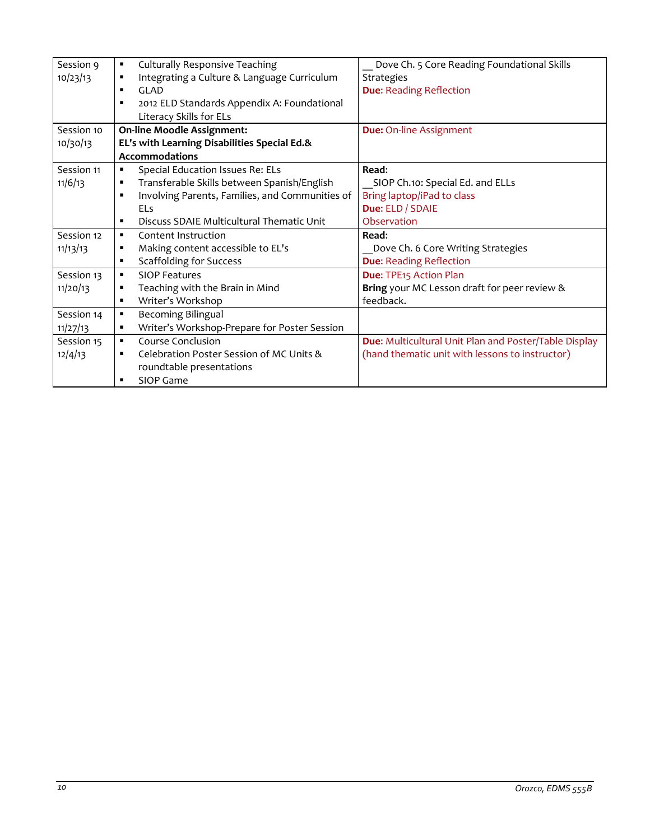| Session 9  | <b>Culturally Responsive Teaching</b><br>٠                        | Dove Ch. 5 Core Reading Foundational Skills           |
|------------|-------------------------------------------------------------------|-------------------------------------------------------|
| 10/23/13   | Integrating a Culture & Language Curriculum<br>٠                  | <b>Strategies</b>                                     |
|            | GLAD.<br>$\blacksquare$                                           | <b>Due: Reading Reflection</b>                        |
|            | 2012 ELD Standards Appendix A: Foundational<br>п                  |                                                       |
|            | Literacy Skills for ELs                                           |                                                       |
| Session 10 | <b>On-line Moodle Assignment:</b>                                 | <b>Due: On-line Assignment</b>                        |
| 10/30/13   | EL's with Learning Disabilities Special Ed.&                      |                                                       |
|            | <b>Accommodations</b>                                             |                                                       |
| Session 11 | Special Education Issues Re: ELs<br>٠                             | Read:                                                 |
| 11/6/13    | Transferable Skills between Spanish/English<br>п                  | SIOP Ch.10: Special Ed. and ELLs                      |
|            | Involving Parents, Families, and Communities of<br>$\blacksquare$ | Bring laptop/iPad to class                            |
|            | <b>ELs</b>                                                        | Due: ELD / SDAIE                                      |
|            | Discuss SDAIE Multicultural Thematic Unit<br>٠                    | Observation                                           |
| Session 12 | Content Instruction<br>$\blacksquare$                             | Read:                                                 |
| 11/13/13   | Making content accessible to EL's<br>٠                            | Dove Ch. 6 Core Writing Strategies                    |
|            | <b>Scaffolding for Success</b><br>٠                               | <b>Due: Reading Reflection</b>                        |
| Session 13 | <b>SIOP Features</b><br>$\blacksquare$                            | Due: TPE15 Action Plan                                |
| 11/20/13   | Teaching with the Brain in Mind<br>п                              | Bring your MC Lesson draft for peer review &          |
|            | Writer's Workshop<br>٠                                            | feedback.                                             |
| Session 14 | <b>Becoming Bilingual</b><br>٠                                    |                                                       |
| 11/27/13   | Writer's Workshop-Prepare for Poster Session<br>٠                 |                                                       |
| Session 15 | Course Conclusion<br>$\blacksquare$                               | Due: Multicultural Unit Plan and Poster/Table Display |
| 12/4/13    | Celebration Poster Session of MC Units &<br>٠                     | (hand thematic unit with lessons to instructor)       |
|            | roundtable presentations                                          |                                                       |
|            | SIOP Game<br>П                                                    |                                                       |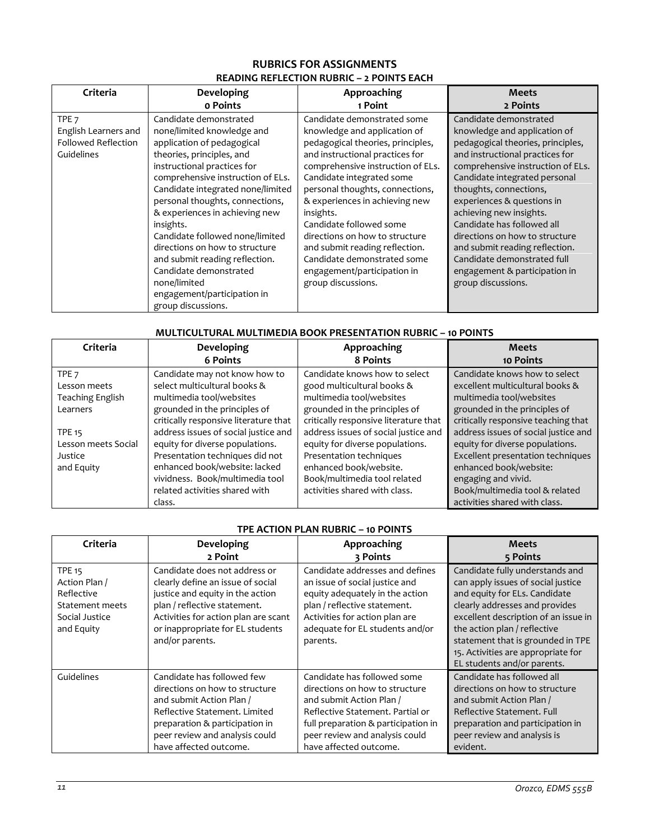## **RUBRICS FOR ASSIGNMENTS READING REFLECTION RUBRIC – 2 POINTS EACH**

| Criteria                                                                             | Developing                                                                                                                                                                                                                                                                                                                                                                                                                                                                                                       | Approaching                                                                                                                                                                                                                                                                                                                                                                                                                                                                | <b>Meets</b>                                                                                                                                                                                                                                                                                                                                                                                                                                                                    |
|--------------------------------------------------------------------------------------|------------------------------------------------------------------------------------------------------------------------------------------------------------------------------------------------------------------------------------------------------------------------------------------------------------------------------------------------------------------------------------------------------------------------------------------------------------------------------------------------------------------|----------------------------------------------------------------------------------------------------------------------------------------------------------------------------------------------------------------------------------------------------------------------------------------------------------------------------------------------------------------------------------------------------------------------------------------------------------------------------|---------------------------------------------------------------------------------------------------------------------------------------------------------------------------------------------------------------------------------------------------------------------------------------------------------------------------------------------------------------------------------------------------------------------------------------------------------------------------------|
|                                                                                      | o Points                                                                                                                                                                                                                                                                                                                                                                                                                                                                                                         | 1 Point                                                                                                                                                                                                                                                                                                                                                                                                                                                                    | 2 Points                                                                                                                                                                                                                                                                                                                                                                                                                                                                        |
| TPE <sub>7</sub><br>English Learners and<br><b>Followed Reflection</b><br>Guidelines | Candidate demonstrated<br>none/limited knowledge and<br>application of pedagogical<br>theories, principles, and<br>instructional practices for<br>comprehensive instruction of ELs.<br>Candidate integrated none/limited<br>personal thoughts, connections,<br>& experiences in achieving new<br>insights.<br>Candidate followed none/limited<br>directions on how to structure<br>and submit reading reflection.<br>Candidate demonstrated<br>none/limited<br>engagement/participation in<br>group discussions. | Candidate demonstrated some<br>knowledge and application of<br>pedagogical theories, principles,<br>and instructional practices for<br>comprehensive instruction of ELs.<br>Candidate integrated some<br>personal thoughts, connections,<br>& experiences in achieving new<br>insights.<br>Candidate followed some<br>directions on how to structure<br>and submit reading reflection.<br>Candidate demonstrated some<br>engagement/participation in<br>group discussions. | Candidate demonstrated<br>knowledge and application of<br>pedagogical theories, principles,<br>and instructional practices for<br>comprehensive instruction of ELs.<br>Candidate integrated personal<br>thoughts, connections,<br>experiences & questions in<br>achieving new insights.<br>Candidate has followed all<br>directions on how to structure<br>and submit reading reflection.<br>Candidate demonstrated full<br>engagement & participation in<br>group discussions. |

## **MULTICULTURAL MULTIMEDIA BOOK PRESENTATION RUBRIC – 10 POINTS**

| Criteria                | Developing                               | Approaching                           | <b>Meets</b>                                                    |
|-------------------------|------------------------------------------|---------------------------------------|-----------------------------------------------------------------|
|                         | <b>6 Points</b>                          | 8 Points                              | 10 Points                                                       |
| TPE <sub>7</sub>        | Candidate may not know how to            | Candidate knows how to select         | Candidate knows how to select                                   |
| Lesson meets            | select multicultural books &             | good multicultural books &            | excellent multicultural books &                                 |
| <b>Teaching English</b> | multimedia tool/websites                 | multimedia tool/websites              | multimedia tool/websites                                        |
| Learners                | grounded in the principles of            | grounded in the principles of         | grounded in the principles of                                   |
| <b>TPE 15</b>           | critically responsive literature that    | critically responsive literature that | critically responsive teaching that                             |
|                         | address issues of social justice and     | address issues of social justice and  | address issues of social justice and                            |
| Lesson meets Social     | equity for diverse populations.          | equity for diverse populations.       | equity for diverse populations.                                 |
| Justice                 | Presentation techniques did not          | Presentation techniques               | Excellent presentation techniques                               |
| and Equity              | enhanced book/website: lacked            | enhanced book/website.                | enhanced book/website:                                          |
|                         | vividness. Book/multimedia tool          | Book/multimedia tool related          | engaging and vivid.                                             |
|                         | related activities shared with<br>class. | activities shared with class.         | Book/multimedia tool & related<br>activities shared with class. |

## **TPE ACTION PLAN RUBRIC – 10 POINTS**

| Criteria                                                                                        | Developing                                                                                                                                                                                                                            | Approaching                                                                                                                                                                                                           | <b>Meets</b>                                                                                                                                                                                                                                                                                                               |  |
|-------------------------------------------------------------------------------------------------|---------------------------------------------------------------------------------------------------------------------------------------------------------------------------------------------------------------------------------------|-----------------------------------------------------------------------------------------------------------------------------------------------------------------------------------------------------------------------|----------------------------------------------------------------------------------------------------------------------------------------------------------------------------------------------------------------------------------------------------------------------------------------------------------------------------|--|
|                                                                                                 | 2 Point                                                                                                                                                                                                                               | 3 Points                                                                                                                                                                                                              | 5 Points                                                                                                                                                                                                                                                                                                                   |  |
| <b>TPE 15</b><br>Action Plan /<br>Reflective<br>Statement meets<br>Social Justice<br>and Equity | Candidate does not address or<br>clearly define an issue of social<br>justice and equity in the action<br>plan / reflective statement.<br>Activities for action plan are scant<br>or inappropriate for EL students<br>and/or parents. | Candidate addresses and defines<br>an issue of social justice and<br>equity adequately in the action<br>plan / reflective statement.<br>Activities for action plan are<br>adequate for EL students and/or<br>parents. | Candidate fully understands and<br>can apply issues of social justice<br>and equity for ELs. Candidate<br>clearly addresses and provides<br>excellent description of an issue in<br>the action plan / reflective<br>statement that is grounded in TPE<br>15. Activities are appropriate for<br>EL students and/or parents. |  |
| Guidelines                                                                                      | Candidate has followed few                                                                                                                                                                                                            | Candidate has followed some                                                                                                                                                                                           | Candidate has followed all                                                                                                                                                                                                                                                                                                 |  |
|                                                                                                 | directions on how to structure                                                                                                                                                                                                        | directions on how to structure                                                                                                                                                                                        | directions on how to structure                                                                                                                                                                                                                                                                                             |  |
|                                                                                                 | and submit Action Plan /                                                                                                                                                                                                              | and submit Action Plan /                                                                                                                                                                                              | and submit Action Plan /                                                                                                                                                                                                                                                                                                   |  |
|                                                                                                 | Reflective Statement. Limited                                                                                                                                                                                                         | Reflective Statement. Partial or                                                                                                                                                                                      | Reflective Statement. Full                                                                                                                                                                                                                                                                                                 |  |
|                                                                                                 | preparation & participation in                                                                                                                                                                                                        | full preparation & participation in                                                                                                                                                                                   | preparation and participation in                                                                                                                                                                                                                                                                                           |  |
|                                                                                                 | peer review and analysis could                                                                                                                                                                                                        | peer review and analysis could                                                                                                                                                                                        | peer review and analysis is                                                                                                                                                                                                                                                                                                |  |
|                                                                                                 | have affected outcome.                                                                                                                                                                                                                | have affected outcome.                                                                                                                                                                                                | evident.                                                                                                                                                                                                                                                                                                                   |  |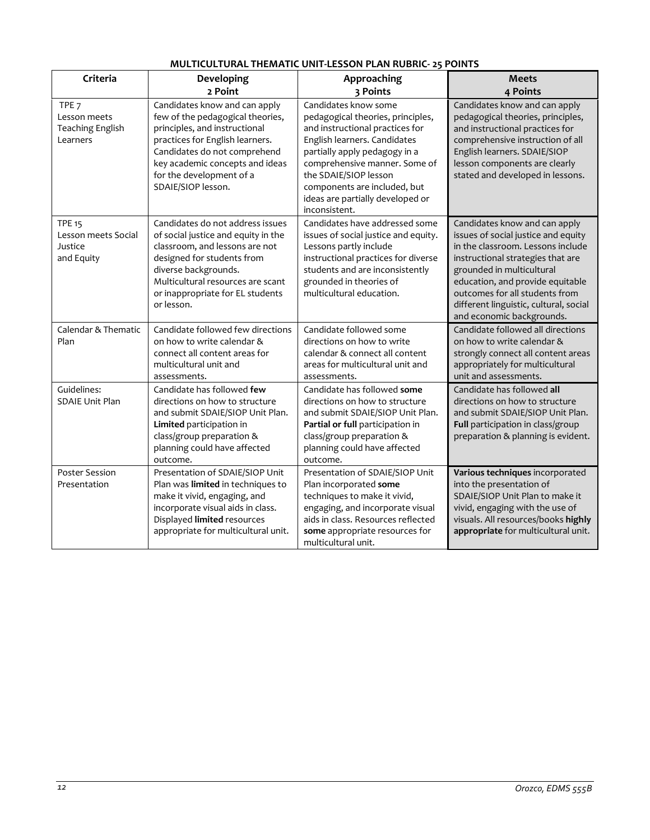| Criteria                                                         | Developing                                                                                                                                                                                                                                                 | Approaching                                                                                                                                                                                                                                                                                                  | <b>Meets</b>                                                                                                                                                                                                                                                                                                             |
|------------------------------------------------------------------|------------------------------------------------------------------------------------------------------------------------------------------------------------------------------------------------------------------------------------------------------------|--------------------------------------------------------------------------------------------------------------------------------------------------------------------------------------------------------------------------------------------------------------------------------------------------------------|--------------------------------------------------------------------------------------------------------------------------------------------------------------------------------------------------------------------------------------------------------------------------------------------------------------------------|
|                                                                  | 2 Point                                                                                                                                                                                                                                                    | 3 Points                                                                                                                                                                                                                                                                                                     | 4 Points                                                                                                                                                                                                                                                                                                                 |
| TPE <sub>7</sub><br>Lesson meets<br>Teaching English<br>Learners | Candidates know and can apply<br>few of the pedagogical theories,<br>principles, and instructional<br>practices for English learners.<br>Candidates do not comprehend<br>key academic concepts and ideas<br>for the development of a<br>SDAIE/SIOP lesson. | Candidates know some<br>pedagogical theories, principles,<br>and instructional practices for<br>English learners. Candidates<br>partially apply pedagogy in a<br>comprehensive manner. Some of<br>the SDAIE/SIOP lesson<br>components are included, but<br>ideas are partially developed or<br>inconsistent. | Candidates know and can apply<br>pedagogical theories, principles,<br>and instructional practices for<br>comprehensive instruction of all<br>English learners. SDAIE/SIOP<br>lesson components are clearly<br>stated and developed in lessons.                                                                           |
| <b>TPE 15</b><br>Lesson meets Social<br>Justice<br>and Equity    | Candidates do not address issues<br>of social justice and equity in the<br>classroom, and lessons are not<br>designed for students from<br>diverse backgrounds.<br>Multicultural resources are scant<br>or inappropriate for EL students<br>or lesson.     | Candidates have addressed some<br>issues of social justice and equity.<br>Lessons partly include<br>instructional practices for diverse<br>students and are inconsistently<br>grounded in theories of<br>multicultural education.                                                                            | Candidates know and can apply<br>issues of social justice and equity<br>in the classroom. Lessons include<br>instructional strategies that are<br>grounded in multicultural<br>education, and provide equitable<br>outcomes for all students from<br>different linguistic, cultural, social<br>and economic backgrounds. |
| Calendar & Thematic<br>Plan                                      | Candidate followed few directions<br>on how to write calendar &<br>connect all content areas for<br>multicultural unit and<br>assessments.                                                                                                                 | Candidate followed some<br>directions on how to write<br>calendar & connect all content<br>areas for multicultural unit and<br>assessments.                                                                                                                                                                  | Candidate followed all directions<br>on how to write calendar &<br>strongly connect all content areas<br>appropriately for multicultural<br>unit and assessments.                                                                                                                                                        |
| Guidelines:<br><b>SDAIE Unit Plan</b>                            | Candidate has followed few<br>directions on how to structure<br>and submit SDAIE/SIOP Unit Plan.<br>Limited participation in<br>class/group preparation &<br>planning could have affected<br>outcome.                                                      | Candidate has followed some<br>directions on how to structure<br>and submit SDAIE/SIOP Unit Plan.<br>Partial or full participation in<br>class/group preparation &<br>planning could have affected<br>outcome.                                                                                               | Candidate has followed all<br>directions on how to structure<br>and submit SDAIE/SIOP Unit Plan.<br>Full participation in class/group<br>preparation & planning is evident.                                                                                                                                              |
| Poster Session<br>Presentation                                   | Presentation of SDAIE/SIOP Unit<br>Plan was limited in techniques to<br>make it vivid, engaging, and<br>incorporate visual aids in class.<br>Displayed limited resources<br>appropriate for multicultural unit.                                            | Presentation of SDAIE/SIOP Unit<br>Plan incorporated some<br>techniques to make it vivid,<br>engaging, and incorporate visual<br>aids in class. Resources reflected<br>some appropriate resources for<br>multicultural unit.                                                                                 | Various techniques incorporated<br>into the presentation of<br>SDAIE/SIOP Unit Plan to make it<br>vivid, engaging with the use of<br>visuals. All resources/books highly<br>appropriate for multicultural unit.                                                                                                          |

## **MULTICULTURAL THEMATIC UNIT-LESSON PLAN RUBRIC- 25 POINTS**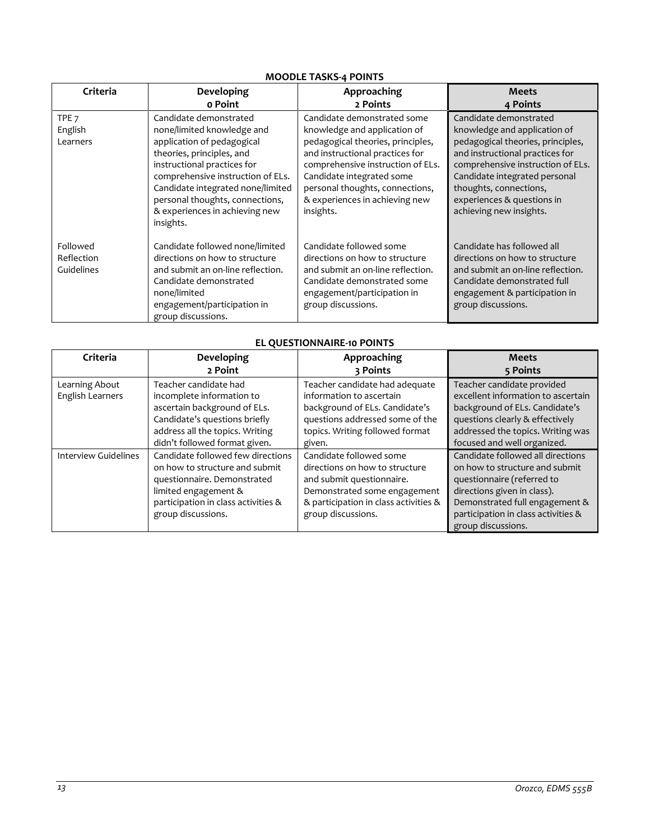#### **MOODLE TASKS-4 POINTS**

| Criteria                                | Developing                                                                                                                                                                                                                                                                                                 | Approaching                                                                                                                                                                                                                                                                             | <b>Meets</b>                                                                                                                                                                                                                                                                            |
|-----------------------------------------|------------------------------------------------------------------------------------------------------------------------------------------------------------------------------------------------------------------------------------------------------------------------------------------------------------|-----------------------------------------------------------------------------------------------------------------------------------------------------------------------------------------------------------------------------------------------------------------------------------------|-----------------------------------------------------------------------------------------------------------------------------------------------------------------------------------------------------------------------------------------------------------------------------------------|
|                                         | o Point                                                                                                                                                                                                                                                                                                    | 2 Points                                                                                                                                                                                                                                                                                | 4 Points                                                                                                                                                                                                                                                                                |
| TPE <sub>7</sub><br>English<br>Learners | Candidate demonstrated<br>none/limited knowledge and<br>application of pedagogical<br>theories, principles, and<br>instructional practices for<br>comprehensive instruction of ELs.<br>Candidate integrated none/limited<br>personal thoughts, connections,<br>& experiences in achieving new<br>insights. | Candidate demonstrated some<br>knowledge and application of<br>pedagogical theories, principles,<br>and instructional practices for<br>comprehensive instruction of ELs.<br>Candidate integrated some<br>personal thoughts, connections,<br>& experiences in achieving new<br>insights. | Candidate demonstrated<br>knowledge and application of<br>pedagogical theories, principles,<br>and instructional practices for<br>comprehensive instruction of ELs.<br>Candidate integrated personal<br>thoughts, connections,<br>experiences & questions in<br>achieving new insights. |
| Followed<br>Reflection<br>Guidelines    | Candidate followed none/limited<br>directions on how to structure<br>and submit an on-line reflection.<br>Candidate demonstrated<br>none/limited<br>engagement/participation in<br>group discussions.                                                                                                      | Candidate followed some<br>directions on how to structure<br>and submit an on-line reflection.<br>Candidate demonstrated some<br>engagement/participation in<br>group discussions.                                                                                                      | Candidate has followed all<br>directions on how to structure<br>and submit an on-line reflection.<br>Candidate demonstrated full<br>engagement & participation in<br>group discussions.                                                                                                 |

# **EL QUESTIONNAIRE-10 POINTS**

| Criteria                           | Developing<br>2 Point                                                                                                                                                                   | Approaching<br>3 Points                                                                                                                                                               | <b>Meets</b><br>5 Points                                                                                                                                                                                                        |
|------------------------------------|-----------------------------------------------------------------------------------------------------------------------------------------------------------------------------------------|---------------------------------------------------------------------------------------------------------------------------------------------------------------------------------------|---------------------------------------------------------------------------------------------------------------------------------------------------------------------------------------------------------------------------------|
| Learning About<br>English Learners | Teacher candidate had<br>incomplete information to<br>ascertain background of ELs.<br>Candidate's questions briefly<br>address all the topics. Writing<br>didn't followed format given. | Teacher candidate had adequate<br>information to ascertain<br>background of ELs. Candidate's<br>questions addressed some of the<br>topics. Writing followed format<br>given.          | Teacher candidate provided<br>excellent information to ascertain<br>background of ELs. Candidate's<br>questions clearly & effectively<br>addressed the topics. Writing was<br>focused and well organized.                       |
| Interview Guidelines               | Candidate followed few directions<br>on how to structure and submit<br>questionnaire. Demonstrated<br>limited engagement &<br>participation in class activities &<br>group discussions. | Candidate followed some<br>directions on how to structure<br>and submit questionnaire.<br>Demonstrated some engagement<br>& participation in class activities &<br>group discussions. | Candidate followed all directions<br>on how to structure and submit<br>questionnaire (referred to<br>directions given in class).<br>Demonstrated full engagement &<br>participation in class activities &<br>group discussions. |